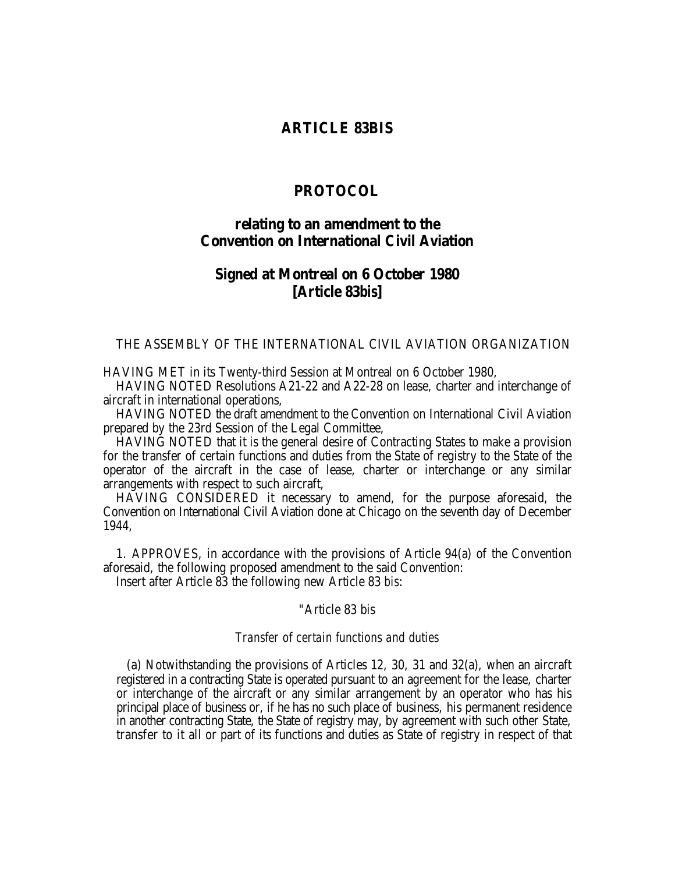### **ARTICLE 83BIS**

# **PROTOCOL**

## **relating to an amendment to the Convention on International Civil Aviation**

### **Signed at Montreal on 6 October 1980 [Article 83***bis***]**

### THE ASSEMBLY OF THE INTERNATIONAL CIVIL AVIATION ORGANIZATION

HAVING MET in its Twenty-third Session at Montreal on 6 October 1980,

HAVING NOTED Resolutions A21-22 and A22-28 on lease, charter and interchange of aircraft in international operations,

HAVING NOTED the draft amendment to the Convention on International Civil Aviation prepared by the 23rd Session of the Legal Committee,

HAVING NOTED that it is the general desire of Contracting States to make a provision for the transfer of certain functions and duties from the State of registry to the State of the operator of the aircraft in the case of lease, charter or interchange or any similar arrangements with respect to such aircraft,

HAVING CONSIDERED it necessary to amend, for the purpose aforesaid, the Convention on International Civil Aviation done at Chicago on the seventh day of December 1944,

1. APPROVES, in accordance with the provisions of Article 94(a) of the Convention aforesaid, the following proposed amendment to the said Convention:

Insert after Article 83 the following new Article 83 *bis*:

#### "Article 83 bis

#### *Transfer of certain functions and duties*

(a) Notwithstanding the provisions of Articles 12, 30, 31 and 32(a), when an aircraft registered in a contracting State is operated pursuant to an agreement for the lease, charter or interchange of the aircraft or any similar arrangement by an operator who has his principal place of business or, if he has no such place of business, his permanent residence in another contracting State, the State of registry may, by agreement with such other State, transfer to it all or part of its functions and duties as State of registry in respect of that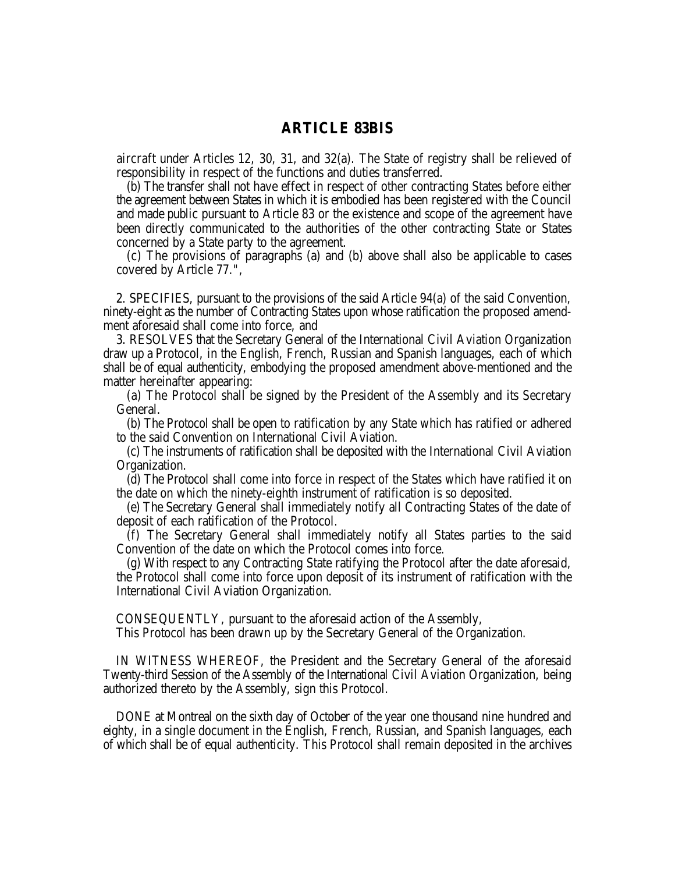## **ARTICLE 83BIS**

aircraft under Articles 12, 30, 31, and 32(a). The State of registry shall be relieved of responsibility in respect of the functions and duties transferred.

(b) The transfer shall not have effect in respect of other contracting States before either the agreement between States in which it is embodied has been registered with the Council and made public pursuant to Article 83 or the existence and scope of the agreement have been directly communicated to the authorities of the other contracting State or States concerned by a State party to the agreement.

(c) The provisions of paragraphs (a) and (b) above shall also be applicable to cases covered by Article 77.",

2. SPECIFIES, pursuant to the provisions of the said Article 94(a) of the said Convention, ninety-eight as the number of Contracting States upon whose ratification the proposed amendment aforesaid shall come into force, and

3. RESOLVES that the Secretary General of the International Civil Aviation Organization draw up a Protocol, in the English, French, Russian and Spanish languages, each of which shall be of equal authenticity, embodying the proposed amendment above-mentioned and the matter hereinafter appearing:

(a) The Protocol shall be signed by the President of the Assembly and its Secretary General.

(b) The Protocol shall be open to ratification by any State which has ratified or adhered to the said Convention on International Civil Aviation.

(c) The instruments of ratification shall be deposited with the International Civil Aviation Organization.

(d) The Protocol shall come into force in respect of the States which have ratified it on the date on which the ninety-eighth instrument of ratification is so deposited.

(e) The Secretary General shall immediately notify all Contracting States of the date of deposit of each ratification of the Protocol.

(f) The Secretary General shall immediately notify all States parties to the said Convention of the date on which the Protocol comes into force.

(g) With respect to any Contracting State ratifying the Protocol after the date aforesaid, the Protocol shall come into force upon deposit of its instrument of ratification with the International Civil Aviation Organization.

CONSEQUENTLY, pursuant to the aforesaid action of the Assembly,

This Protocol has been drawn up by the Secretary General of the Organization.

IN WITNESS WHEREOF, the President and the Secretary General of the aforesaid Twenty-third Session of the Assembly of the International Civil Aviation Organization, being authorized thereto by the Assembly, sign this Protocol.

DONE at Montreal on the sixth day of October of the year one thousand nine hundred and eighty, in a single document in the English, French, Russian, and Spanish languages, each of which shall be of equal authenticity. This Protocol shall remain deposited in the archives